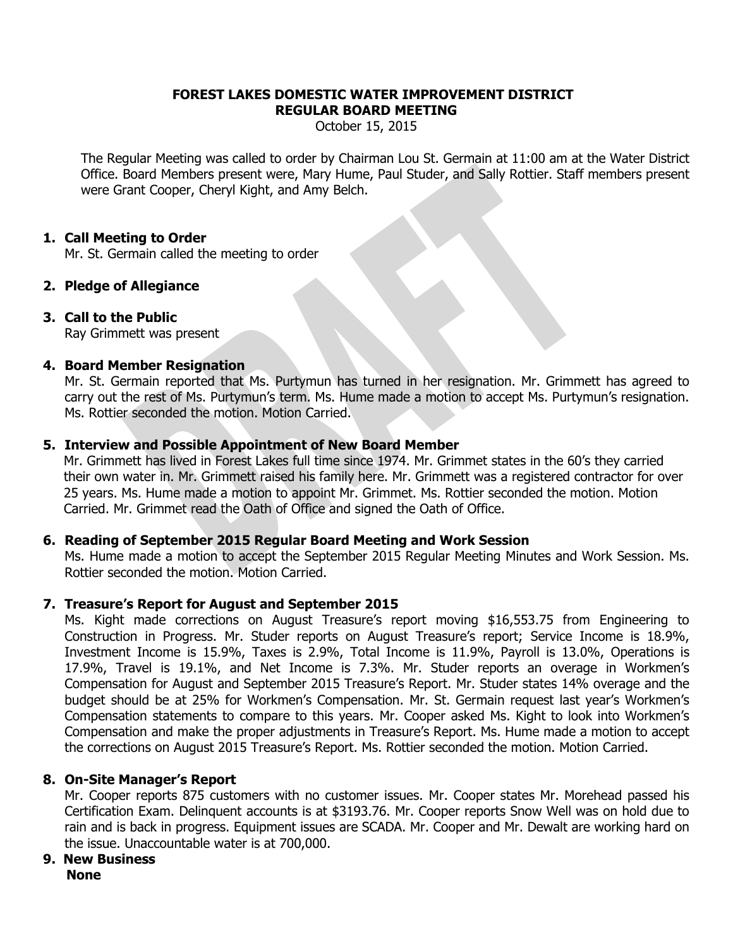#### **FOREST LAKES DOMESTIC WATER IMPROVEMENT DISTRICT REGULAR BOARD MEETING**

October 15, 2015

The Regular Meeting was called to order by Chairman Lou St. Germain at 11:00 am at the Water District Office. Board Members present were, Mary Hume, Paul Studer, and Sally Rottier. Staff members present were Grant Cooper, Cheryl Kight, and Amy Belch.

#### **1. Call Meeting to Order**

Mr. St. Germain called the meeting to order

# **2. Pledge of Allegiance**

## **3. Call to the Public**

Ray Grimmett was present

#### **4. Board Member Resignation**

Mr. St. Germain reported that Ms. Purtymun has turned in her resignation. Mr. Grimmett has agreed to carry out the rest of Ms. Purtymun's term. Ms. Hume made a motion to accept Ms. Purtymun's resignation. Ms. Rottier seconded the motion. Motion Carried.

## **5. Interview and Possible Appointment of New Board Member**

 Mr. Grimmett has lived in Forest Lakes full time since 1974. Mr. Grimmet states in the 60's they carried their own water in. Mr. Grimmett raised his family here. Mr. Grimmett was a registered contractor for over 25 years. Ms. Hume made a motion to appoint Mr. Grimmet. Ms. Rottier seconded the motion. Motion Carried. Mr. Grimmet read the Oath of Office and signed the Oath of Office.

#### **6. Reading of September 2015 Regular Board Meeting and Work Session**

Ms. Hume made a motion to accept the September 2015 Regular Meeting Minutes and Work Session. Ms. Rottier seconded the motion. Motion Carried.

# **7. Treasure's Report for August and September 2015**

Ms. Kight made corrections on August Treasure's report moving \$16,553.75 from Engineering to Construction in Progress. Mr. Studer reports on August Treasure's report; Service Income is 18.9%, Investment Income is 15.9%, Taxes is 2.9%, Total Income is 11.9%, Payroll is 13.0%, Operations is 17.9%, Travel is 19.1%, and Net Income is 7.3%. Mr. Studer reports an overage in Workmen's Compensation for August and September 2015 Treasure's Report. Mr. Studer states 14% overage and the budget should be at 25% for Workmen's Compensation. Mr. St. Germain request last year's Workmen's Compensation statements to compare to this years. Mr. Cooper asked Ms. Kight to look into Workmen's Compensation and make the proper adjustments in Treasure's Report. Ms. Hume made a motion to accept the corrections on August 2015 Treasure's Report. Ms. Rottier seconded the motion. Motion Carried.

# **8. On-Site Manager's Report**

Mr. Cooper reports 875 customers with no customer issues. Mr. Cooper states Mr. Morehead passed his Certification Exam. Delinquent accounts is at \$3193.76. Mr. Cooper reports Snow Well was on hold due to rain and is back in progress. Equipment issues are SCADA. Mr. Cooper and Mr. Dewalt are working hard on the issue. Unaccountable water is at 700,000.

# **9. New Business**

 **None**